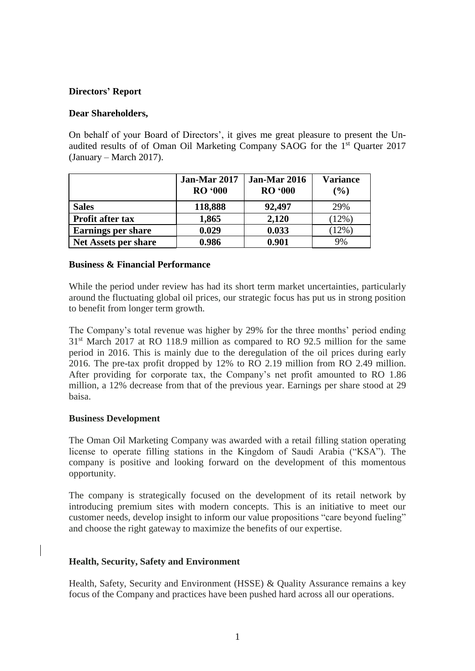## **Directors' Report**

## **Dear Shareholders,**

On behalf of your Board of Directors', it gives me great pleasure to present the Unaudited results of of Oman Oil Marketing Company SAOG for the 1<sup>st</sup> Quarter 2017 (January – March 2017).

|                             | Jan-Mar 2017<br><b>RO</b> '000 | <b>Jan-Mar 2016</b><br><b>RO</b> '000 | <b>Variance</b><br>(%) |
|-----------------------------|--------------------------------|---------------------------------------|------------------------|
| <b>Sales</b>                | 118,888                        | 92,497                                | 29%                    |
| <b>Profit after tax</b>     | 1,865                          | 2,120                                 | (12%)                  |
| <b>Earnings per share</b>   | 0.029                          | 0.033                                 | (12%)                  |
| <b>Net Assets per share</b> | 0.986                          | 0.901                                 | 9%                     |

#### **Business & Financial Performance**

While the period under review has had its short term market uncertainties, particularly around the fluctuating global oil prices, our strategic focus has put us in strong position to benefit from longer term growth.

The Company's total revenue was higher by 29% for the three months' period ending 31<sup>st</sup> March 2017 at RO 118.9 million as compared to RO 92.5 million for the same period in 2016. This is mainly due to the deregulation of the oil prices during early 2016. The pre-tax profit dropped by 12% to RO 2.19 million from RO 2.49 million. After providing for corporate tax, the Company's net profit amounted to RO 1.86 million, a 12% decrease from that of the previous year. Earnings per share stood at 29 baisa.

#### **Business Development**

The Oman Oil Marketing Company was awarded with a retail filling station operating license to operate filling stations in the Kingdom of Saudi Arabia ("KSA"). The company is positive and looking forward on the development of this momentous opportunity.

The company is strategically focused on the development of its retail network by introducing premium sites with modern concepts. This is an initiative to meet our customer needs, develop insight to inform our value propositions "care beyond fueling" and choose the right gateway to maximize the benefits of our expertise.

#### **Health, Security, Safety and Environment**

Health, Safety, Security and Environment (HSSE) & Quality Assurance remains a key focus of the Company and practices have been pushed hard across all our operations.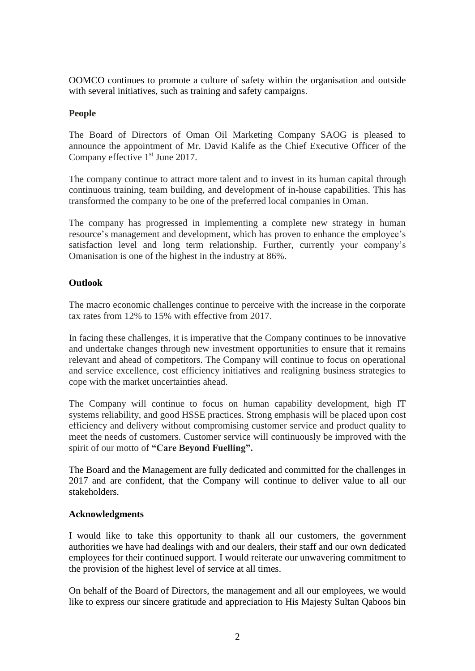OOMCO continues to promote a culture of safety within the organisation and outside with several initiatives, such as training and safety campaigns.

# **People**

The Board of Directors of Oman Oil Marketing Company SAOG is pleased to announce the appointment of Mr. David Kalife as the Chief Executive Officer of the Company effective 1<sup>st</sup> June 2017.

The company continue to attract more talent and to invest in its human capital through continuous training, team building, and development of in-house capabilities. This has transformed the company to be one of the preferred local companies in Oman.

The company has progressed in implementing a complete new strategy in human resource's management and development, which has proven to enhance the employee's satisfaction level and long term relationship. Further, currently your company's Omanisation is one of the highest in the industry at 86%.

# **Outlook**

The macro economic challenges continue to perceive with the increase in the corporate tax rates from 12% to 15% with effective from 2017.

In facing these challenges, it is imperative that the Company continues to be innovative and undertake changes through new investment opportunities to ensure that it remains relevant and ahead of competitors. The Company will continue to focus on operational and service excellence, cost efficiency initiatives and realigning business strategies to cope with the market uncertainties ahead.

The Company will continue to focus on human capability development, high IT systems reliability, and good HSSE practices. Strong emphasis will be placed upon cost efficiency and delivery without compromising customer service and product quality to meet the needs of customers. Customer service will continuously be improved with the spirit of our motto of **"Care Beyond Fuelling".**

The Board and the Management are fully dedicated and committed for the challenges in 2017 and are confident, that the Company will continue to deliver value to all our stakeholders.

# **Acknowledgments**

I would like to take this opportunity to thank all our customers, the government authorities we have had dealings with and our dealers, their staff and our own dedicated employees for their continued support. I would reiterate our unwavering commitment to the provision of the highest level of service at all times.

On behalf of the Board of Directors, the management and all our employees, we would like to express our sincere gratitude and appreciation to His Majesty Sultan Qaboos bin